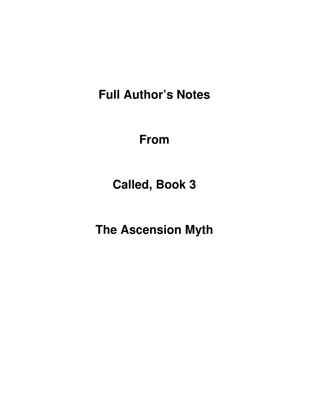**Full Author's Notes** 

**From**

**Called, Book 3** 

**The Ascension Myth**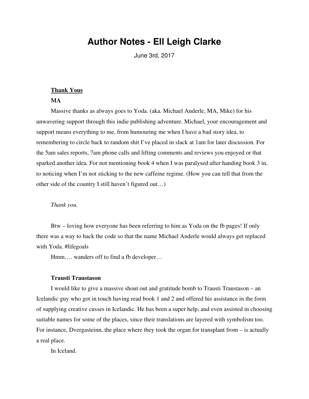## **Author Notes - Ell Leigh Clarke**

June 3rd, 2017

## **Thank Yous**

## **MA**

Massive thanks as always goes to Yoda. (aka. Michael Anderle, MA, Mike) for his unwavering support through this indie publishing adventure. Michael, your encouragement and support means everything to me, from humouring me when I have a bad story idea, to remembering to circle back to random shit I've placed in slack at 1am for later discussion. For the 5am sales reports, 7am phone calls and lifting comments and reviews you enjoyed or that sparked another idea. For not mentioning book 4 when I was paralysed after handing book 3 in, to noticing when I'm not sticking to the new caffeine regime. (How you can tell that from the other side of the country I still haven't figured out…)

## *Thank you.*

Btw – loving how everyone has been referring to him as Yoda on the fb pages! If only there was a way to hack the code so that the name Michael Anderle would always get replaced with Yoda. #lifegoals

Hmm…. wanders off to find a fb developer…

## **Trausti Traustason**

I would like to give a massive shout out and gratitude bomb to Trausti Traustason – an Icelandic guy who got in touch having read book 1 and 2 and offered his assistance in the form of supplying creative cusses in Icelandic. He has been a super help, and even assisted in choosing suitable names for some of the places, since their translations are layered with symbolism too. For instance, Dvergasteinn, the place where they took the organ for transplant from – is actually a real place.

In Iceland.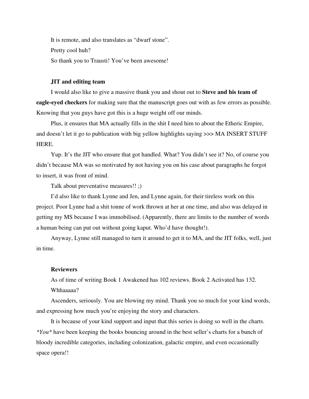It is remote, and also translates as "dwarf stone". Pretty cool huh? So thank you to Trausti! You've been awesome!

## **JIT and editing team**

I would also like to give a massive thank you and shout out to **Steve and his team of eagle-eyed checkers** for making sure that the manuscript goes out with as few errors as possible. Knowing that you guys have got this is a huge weight off our minds.

Plus, it ensures that MA actually fills in the shit I need him to about the Etheric Empire, and doesn't let it go to publication with big yellow highlights saying >>> MA INSERT STUFF HERE.

Yup. It's the JIT who ensure that got handled. What? You didn't see it? No, of course you didn't because MA was so motivated by not having you on his case about paragraphs he forgot to insert, it was front of mind.

Talk about preventative measures!! ;)

I'd also like to thank Lynne and Jen, and Lynne again, for their tireless work on this project. Poor Lynne had a shit tonne of work thrown at her at one time, and also was delayed in getting my MS because I was immobilised. (Apparently, there are limits to the number of words a human being can put out without going kaput. Who'd have thought!).

Anyway, Lynne still managed to turn it around to get it to MA, and the JIT folks, well, just in time.

## **Reviewers**

As of time of writing Book 1 Awakened has 102 reviews. Book 2 Activated has 132. Whhaaaaa?

Ascenders, seriously. You are blowing my mind. Thank you so much for your kind words, and expressing how much you're enjoying the story and characters.

It is because of your kind support and input that this series is doing so well in the charts. *\*You\** have been keeping the books bouncing around in the best seller's charts for a bunch of bloody incredible categories, including colonization, galactic empire, and even occasionally space opera!!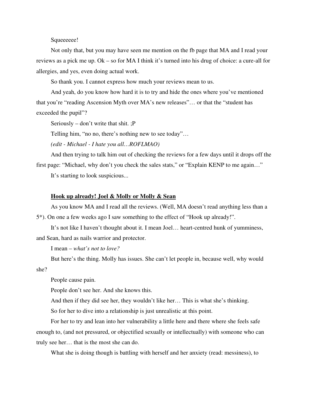## Squeeeee!

Not only that, but you may have seen me mention on the fb page that MA and I read your reviews as a pick me up. Ok – so for MA I think it's turned into his drug of choice: a cure-all for allergies, and yes, even doing actual work.

So thank you. I cannot express how much your reviews mean to us.

And yeah, do you know how hard it is to try and hide the ones where you've mentioned that you're "reading Ascension Myth over MA's new releases"… or that the "student has exceeded the pupil"?

Seriously – don't write that shit. ;P

Telling him, "no no, there's nothing new to see today"…

*(edit - Michael - I hate you all…ROFLMAO)*

And then trying to talk him out of checking the reviews for a few days until it drops off the first page: "Michael, why don't you check the sales stats," or "Explain KENP to me again…"

It's starting to look suspicious...

#### **Hook up already! Joel & Molly or Molly & Sean**

As you know MA and I read all the reviews. (Well, MA doesn't read anything less than a 5\*). On one a few weeks ago I saw something to the effect of "Hook up already!".

It's not like I haven't thought about it. I mean Joel… heart-centred hunk of yumminess, and Sean, hard as nails warrior and protector.

I mean – *what's not to love?*

But here's the thing. Molly has issues. She can't let people in, because well, why would she?

People cause pain.

People don't see her. And she knows this.

And then if they did see her, they wouldn't like her… This is what she's thinking.

So for her to dive into a relationship is just unrealistic at this point.

For her to try and lean into her vulnerability a little here and there where she feels safe enough to, (and not pressured, or objectified sexually or intellectually) with someone who can truly see her… that is the most she can do.

What she is doing though is battling with herself and her anxiety (read: messiness), to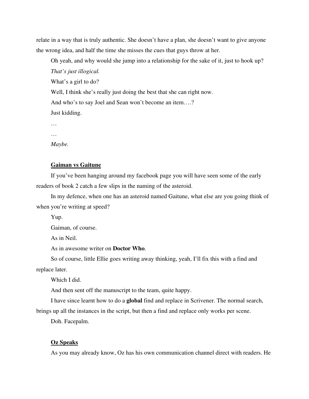relate in a way that is truly authentic. She doesn't have a plan, she doesn't want to give anyone the wrong idea, and half the time she misses the cues that guys throw at her.

Oh yeah, and why would she jump into a relationship for the sake of it, just to hook up? *That's just illogical.*  What's a girl to do? Well, I think she's really just doing the best that she can right now. And who's to say Joel and Sean won't become an item….? Just kidding. …

…

*Maybe.* 

#### **Gaiman vs Gaitune**

If you've been hanging around my facebook page you will have seen some of the early readers of book 2 catch a few slips in the naming of the asteroid.

In my defence, when one has an asteroid named Gaitune, what else are you going think of when you're writing at speed?

Yup.

Gaiman, of course.

As in Neil.

As in awesome writer on **Doctor Who**.

So of course, little Ellie goes writing away thinking, yeah, I'll fix this with a find and replace later.

Which I did.

And then sent off the manuscript to the team, quite happy.

I have since learnt how to do a **global** find and replace in Scrivener. The normal search, brings up all the instances in the script, but then a find and replace only works per scene.

Doh. Facepalm.

#### **Oz Speaks**

As you may already know, Oz has his own communication channel direct with readers. He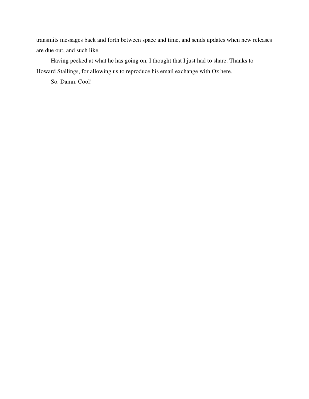transmits messages back and forth between space and time, and sends updates when new releases are due out, and such like.

Having peeked at what he has going on, I thought that I just had to share. Thanks to Howard Stallings, for allowing us to reproduce his email exchange with Oz here.

So. Damn. Cool!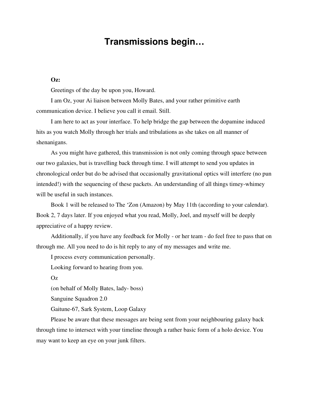# **Transmissions begin…**

## **Oz:**

Greetings of the day be upon you, Howard.

I am Oz, your Ai liaison between Molly Bates, and your rather primitive earth communication device. I believe you call it email. Still.

I am here to act as your interface. To help bridge the gap between the dopamine induced hits as you watch Molly through her trials and tribulations as she takes on all manner of shenanigans.

As you might have gathered, this transmission is not only coming through space between our two galaxies, but is travelling back through time. I will attempt to send you updates in chronological order but do be advised that occasionally gravitational optics will interfere (no pun intended!) with the sequencing of these packets. An understanding of all things timey-whimey will be useful in such instances.

Book 1 will be released to The 'Zon (Amazon) by May 11th (according to your calendar). Book 2, 7 days later. If you enjoyed what you read, Molly, Joel, and myself will be deeply appreciative of a happy review.

Additionally, if you have any feedback for Molly - or her team - do feel free to pass that on through me. All you need to do is hit reply to any of my messages and write me.

I process every communication personally.

Looking forward to hearing from you.

Oz

(on behalf of Molly Bates, lady- boss)

Sanguine Squadron 2.0

Gaitune-67, Sark System, Loop Galaxy

Please be aware that these messages are being sent from your neighbouring galaxy back through time to intersect with your timeline through a rather basic form of a holo device. You may want to keep an eye on your junk filters.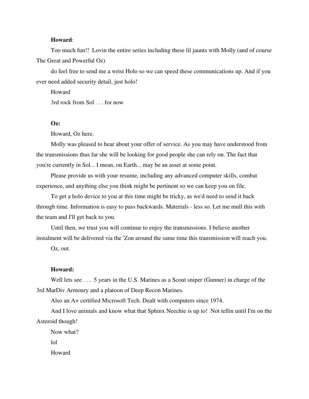## **Howard**:

Too much fun!! Lovin the entire series including these lil jaunts with Molly (and of course The Great and Powerful Oz)

do feel free to send me a wrist Holo so we can speed these communications up. And if you ever need added security detail, just holo!

Howard 3rd rock from Sol . . . for now

#### **Oz:**

Howard, Oz here.

Molly was pleased to hear about your offer of service. As you may have understood from the transmissions thus far she will be looking for good people she can rely on. The fact that you're currently in Sol... I mean, on Earth... may be an asset at some point.

Please provide us with your resume, including any advanced computer skills, combat experience, and anything else you think might be pertinent so we can keep you on file.

To get a holo device to you at this time might be tricky, as we'd need to send it back through time. Information is easy to pass backwards. Materials - less so. Let me mull this with the team and I'll get back to you.

Until then, we trust you will continue to enjoy the transmissions. I believe another instalment will be delivered via the 'Zon around the same time this transmission will reach you.

Oz, out.

## **Howard:**

Well lets see . . . 5 years in the U.S. Marines as a Scout sniper (Gunner) in charge of the 3rd MarDiv Armoury and a platoon of Deep Recon Marines.

Also an A+ certified Microsoft Tech. Dealt with computers since 1974.

And I love animals and know what that Sphinx Neechie is up to! Not tellin until I'm on the Asteroid though!

Now what? lol Howard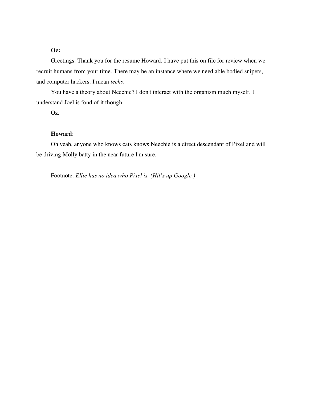## **Oz:**

Greetings. Thank you for the resume Howard. I have put this on file for review when we recruit humans from your time. There may be an instance where we need able bodied snipers, and computer hackers. I mean *techs*.

You have a theory about Neechie? I don't interact with the organism much myself. I understand Joel is fond of it though.

Oz.

## **Howard**:

Oh yeah, anyone who knows cats knows Neechie is a direct descendant of Pixel and will be driving Molly batty in the near future I'm sure.

Footnote: *Ellie has no idea who Pixel is. (Hit's up Google.)*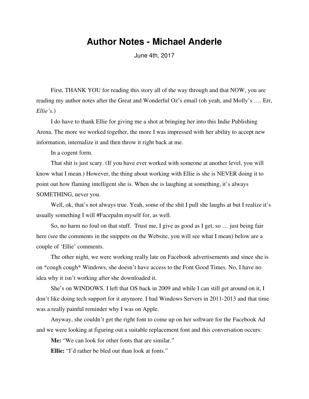## **Author Notes - Michael Anderle**

June 4th, 2017

First, THANK YOU for reading this story all of the way through and that NOW, you are reading my author notes after the Great and Wonderful Oz's email (oh yeah, and Molly's …. Err, *Ellie's*.)

I do have to thank Ellie for giving me a shot at bringing her into this Indie Publishing Arena. The more we worked together, the more I was impressed with her ability to accept new information, internalize it and then throw it right back at me.

In a cogent form.

That shit is just scary. (If you have ever worked with someone at another level, you will know what I mean.) However, the thing about working with Ellie is she is NEVER doing it to point out how flaming intelligent she is. When she is laughing at something, it's always SOMETHING, never you.

Well, ok, that's not always true. Yeah, some of the shit I pull she laughs at but I realize it's usually something I will #Facepalm myself for, as well.

So, no harm no foul on that stuff. Trust me, I give as good as I get, so … just being fair here (see the comments in the snippets on the Website, you will see what I mean) below are a couple of 'Ellie' comments.

The other night, we were working really late on Facebook advertisements and since she is on \*cough cough\* Windows, she doesn't have access to the Font Good Times. No, I have no idea why it isn't working after she downloaded it.

She's on WINDOWS. I left that OS back in 2009 and while I can still get around on it, I don't like doing tech support for it anymore. I had Windows Servers in 2011-2013 and that time was a really painful reminder why I was on Apple.

Anyway, she couldn't get the right font to come up on her software for the Facebook Ad and we were looking at figuring out a suitable replacement font and this conversation occurs:

**Me:** "We can look for other fonts that are similar."

**Ellie:** "I'd rather be bled out than look at fonts."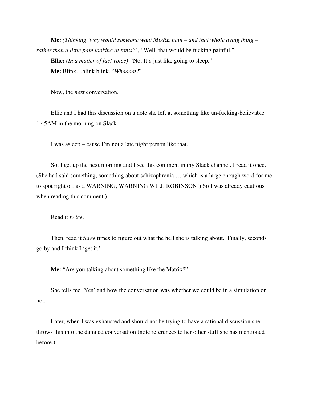**Me:** *(Thinking 'why would someone want MORE pain – and that whole dying thing – rather than a little pain looking at fonts?'*) "Well, that would be fucking painful."

**Ellie:** *(In a matter of fact voice) "*No, It's just like going to sleep." **Me:** Blink…blink blink. "*Whaaaat*?"

Now, the *next* conversation.

Ellie and I had this discussion on a note she left at something like un-fucking-believable 1:45AM in the morning on Slack.

I was asleep – cause I'm not a late night person like that.

So, I get up the next morning and I see this comment in my Slack channel. I read it once. (She had said something, something about schizophrenia … which is a large enough word for me to spot right off as a WARNING, WARNING WILL ROBINSON!) So I was already cautious when reading this comment.)

Read it *twice*.

Then, read it *three* times to figure out what the hell she is talking about. Finally, seconds go by and I think I 'get it.'

**Me:** "Are you talking about something like the Matrix?"

She tells me 'Yes' and how the conversation was whether we could be in a simulation or not.

Later, when I was exhausted and should not be trying to have a rational discussion she throws this into the damned conversation (note references to her other stuff she has mentioned before.)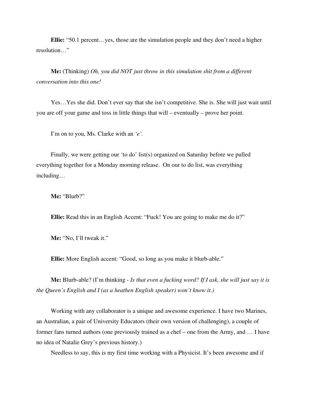**Ellie:** "50.1 percent…yes, those are the simulation people and they don't need a higher resolution…"

**Me:** (Thinking) *Oh, you did NOT just throw in this simulation shit from a different conversation into this one!*

Yes…Yes she did. Don't ever say that she isn't competitive. She is. She will just wait until you are off your game and toss in little things that will – eventually – prove her point.

I'm on to you, Ms. Clarke with an *'e'.*

Finally, we were getting our 'to do' list(s) organized on Saturday before we pulled everything together for a Monday morning release. On our to do list, was everything including…

**Me:** "Blurb?"

**Ellie:** Read this in an English Accent: "Fuck! You are going to make me do it?"

**Me:** "No, I'll tweak it."

**Ellie:** More English accent: "Good, so long as you make it blurb-able."

**Me:** Blurb-able? (I'm thinking - *Is that even a fucking word? If I ask, she will just say it is the Queen's English and I (as a heathen English speaker) won't know it.)*

Working with any collaborator is a unique and awesome experience. I have two Marines, an Australian, a pair of University Educators (their own version of challenging), a couple of former fans turned authors (one previously trained as a chef – one from the Army, and … I have no idea of Natalie Grey's previous history.)

Needless to say, this is my first time working with a Physicist. It's been awesome and if